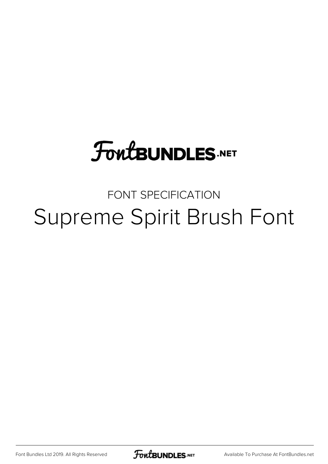# **FoutBUNDLES.NET**

## FONT SPECIFICATION Supreme Spirit Brush Font

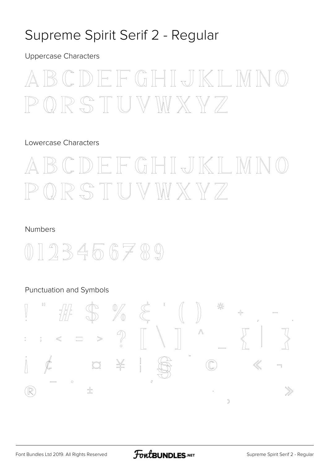### Supreme Spirit Serif 2 - Regular

**Uppercase Characters** 

## BCDFFGHLJKINO ORSTUVWXYZ

#### Lowercase Characters

## $B\subset D F F G H U, J K I W N$ ORSTUVWXYZ

### **Numbers**

## $0123456789$

### Punctuation and Symbols

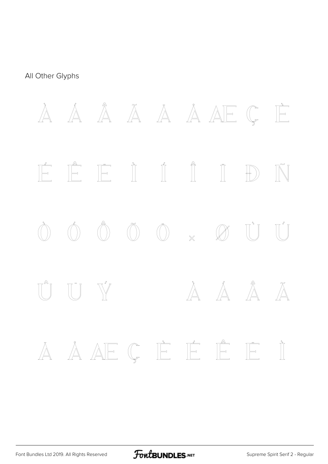#### All Other Glyphs



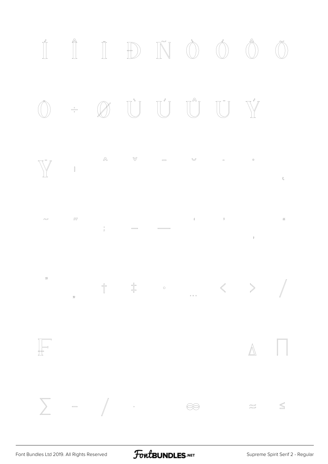# í î ï ð ñ ò ó ô õ  $\begin{matrix} \begin{matrix} \begin{matrix} 0 \\ 0 \end{matrix} \end{matrix} & \begin{matrix} \begin{matrix} \begin{matrix} 0 \\ 0 \end{matrix} \end{matrix} & \begin{matrix} 0 \\ 0 \end{matrix} \end{matrix} & \begin{matrix} \begin{matrix} \begin{matrix} 0 \\ 0 \end{matrix} \end{matrix} & \begin{matrix} \begin{matrix} 0 \\ 0 \end{matrix} \end{matrix} & \begin{matrix} \begin{matrix} \begin{matrix} 0 \\ 0 \end{matrix} \end{matrix} & \begin{matrix} \begin{matrix} \begin{matrix} 0 \\ 0 \end{matrix} \end{matrix} & \begin{matrix} \begin{matrix} \begin{matrix} 0 \\$  $\mathbb{I}$ ˆ ˇ ˉ ˘ ˙ ˚ ˛ ˜ ˝ ; – — ' ' ' " " " † ‡ • … ‹ › ⁄ ₣ ∆ ∏ ∑ − ∕ ∙ ∞ ≈ ≤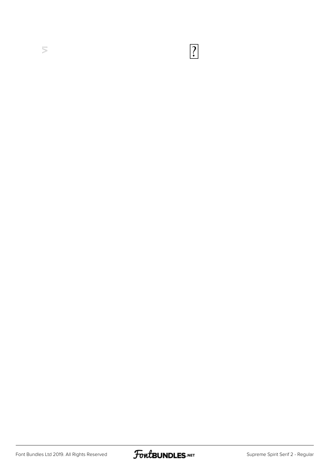$\geqslant$ 

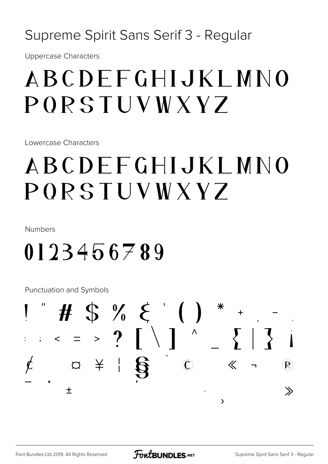### Supreme Spirit Sans Serif 3 - Regular

**Uppercase Characters** 

## ABCDFFGHIJKI MNO PORSTUVWXYZ

Lowercase Characters

## ABCDEFGHIJKI MNO PORSTUVWXYZ

**Numbers** 

## $0123456789$

Punctuation and Symbols

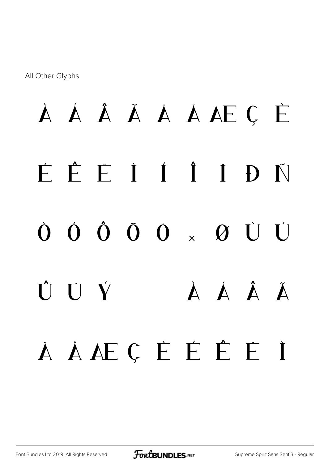All Other Glyphs

# À Á Â Ã Ä Å Æ Ç È É Ê Ë Ì Í Î Ï Ð Ñ Ò Ó Ô Õ Ö × Ø Ù Ú Û Ü Ý à á â ã A AEÇÈÉÉE Ì

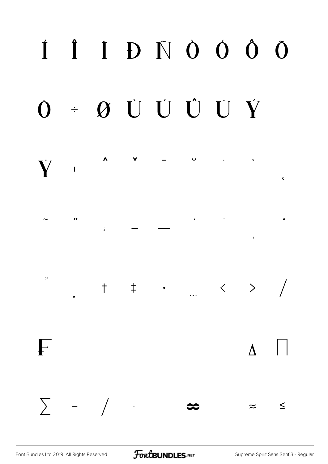# í î ï ð ñ ò ó ô õ  $0$  ÷  $\emptyset$  Ù Ú Ú Ŭ Ý  $\ddot{\mathbf{V}}$  i ˆ ˇ ˉ ˘ ˙ ˚ ˛ ˜ ˝ ; – — ' ' ' "  $\qquad \qquad \mathsf{m} \qquad \qquad \mathsf{r} \qquad \qquad \mathsf{t} \qquad \qquad \mathsf{t} \qquad \qquad \mathsf{t} \qquad \qquad \mathsf{t} \qquad \qquad \mathsf{t} \qquad \qquad \mathsf{t} \qquad \qquad \mathsf{t} \qquad \qquad \mathsf{t} \qquad \qquad \mathsf{t} \qquad \qquad \mathsf{t} \qquad \qquad \mathsf{t} \qquad \qquad \mathsf{t} \qquad \qquad \mathsf{t} \qquad \qquad \mathsf{t} \qquad \qquad \mathsf{t} \qquad \qquad \mathsf{t} \qquad \$ ₣ ∆ ∏ ∑ − ∕ ∙ ∞ ≈ ≤

[Font Bundles Ltd 2019. All Rights Reserved](https://fontbundles.net/) **FoutBUNDLES.NET** [Supreme Spirit Sans Serif 3 - Regular](https://fontbundles.net/)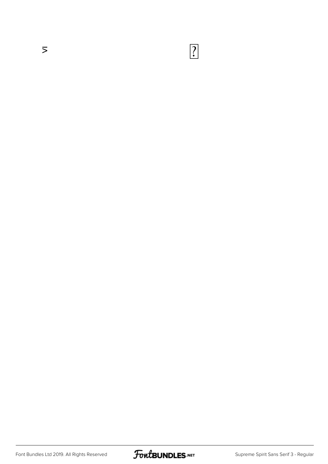$\overline{z}$ 

 $\boxed{?}$ 

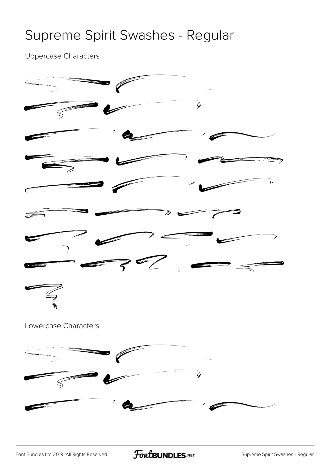### Supreme Spirit Swashes - Regular

Uppercase Characters



[Font Bundles Ltd 2019. All Rights Reserved](https://fontbundles.net/) **FoutBUNDLES.NET** [Supreme Spirit Swashes - Regular](https://fontbundles.net/)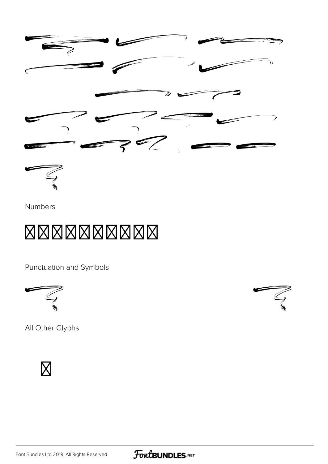



Numbers

### **NNNNNNNNN**

Punctuation and Symbols



All Other Glyphs





Font Bundles Ltd 2019. All Rights Reserved

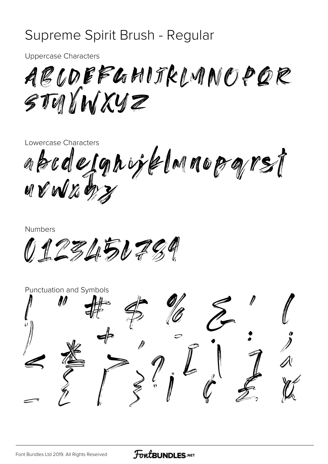### Supreme Spirit Brush - Regular

**Uppercase Characters** 

ABLOEFGHIJKLMNOPØR STUYWXYZ

Lowercase Characters

abedesgrupblanoparst av Wag

**Numbers** 

012345079

**Punctuation and Symbols**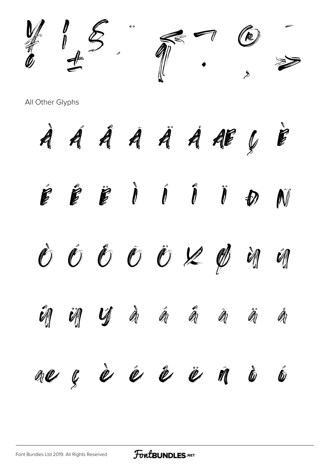

All Other Glyphs

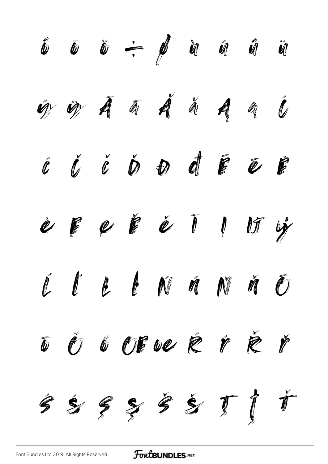

FontBUNDLES.NET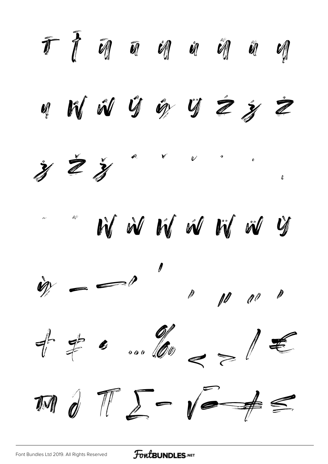

FontBUNDLES.NET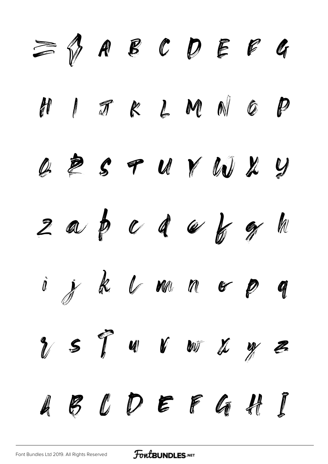